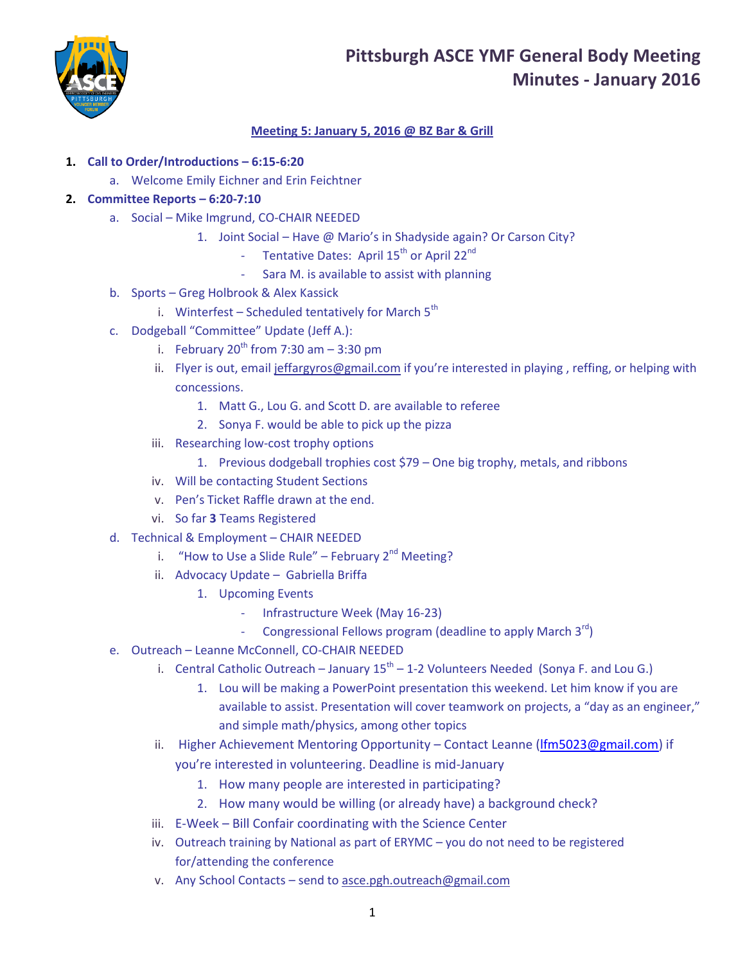## **Pittsburgh ASCE YMF General Body Meeting Minutes - January 2016**



## **Meeting 5: January 5, 2016 @ BZ Bar & Grill**

## **1. Call to Order/Introductions – 6:15-6:20**

a. Welcome Emily Eichner and Erin Feichtner

### **2. Committee Reports – 6:20-7:10**

- a. Social Mike Imgrund, CO-CHAIR NEEDED
	- 1. Joint Social Have @ Mario's in Shadyside again? Or Carson City?
		- Tentative Dates: April 15<sup>th</sup> or April 22<sup>nd</sup>
		- Sara M. is available to assist with planning
- b. Sports Greg Holbrook & Alex Kassick
	- i. Winterfest Scheduled tentatively for March  $5<sup>th</sup>$
- c. Dodgeball "Committee" Update (Jeff A.):
	- i. February  $20^{th}$  from 7:30 am  $-$  3:30 pm
	- ii. Flyer is out, email [jeffargyros@gmail.com](mailto:jeffargyros@gmail.com) if you're interested in playing , reffing, or helping with concessions.
		- 1. Matt G., Lou G. and Scott D. are available to referee
		- 2. Sonya F. would be able to pick up the pizza
	- iii. Researching low-cost trophy options
		- 1. Previous dodgeball trophies cost \$79 One big trophy, metals, and ribbons
	- iv. Will be contacting Student Sections
	- v. Pen's Ticket Raffle drawn at the end.
	- vi. So far **3** Teams Registered
- d. Technical & Employment CHAIR NEEDED
	- i. "How to Use a Slide Rule" February  $2<sup>nd</sup>$  Meeting?
	- ii. Advocacy Update Gabriella Briffa
		- 1. Upcoming Events
			- Infrastructure Week (May 16-23)
			- Congressional Fellows program (deadline to apply March  $3^{rd}$ )
- e. Outreach Leanne McConnell, CO-CHAIR NEEDED
	- i. Central Catholic Outreach January 15<sup>th</sup> 1-2 Volunteers Needed (Sonya F. and Lou G.)
		- 1. Lou will be making a PowerPoint presentation this weekend. Let him know if you are available to assist. Presentation will cover teamwork on projects, a "day as an engineer," and simple math/physics, among other topics
	- ii. Higher Achievement Mentoring Opportunity Contact Leanne (Ifm5023@gmail.com) if you're interested in volunteering. Deadline is mid-January
		- 1. How many people are interested in participating?
		- 2. How many would be willing (or already have) a background check?
	- iii. E-Week Bill Confair coordinating with the Science Center
	- iv. Outreach training by National as part of ERYMC you do not need to be registered for/attending the conference
	- v. Any School Contacts send to [asce.pgh.outreach@gmail.com](mailto:asce.pgh.outreach@gmail.com)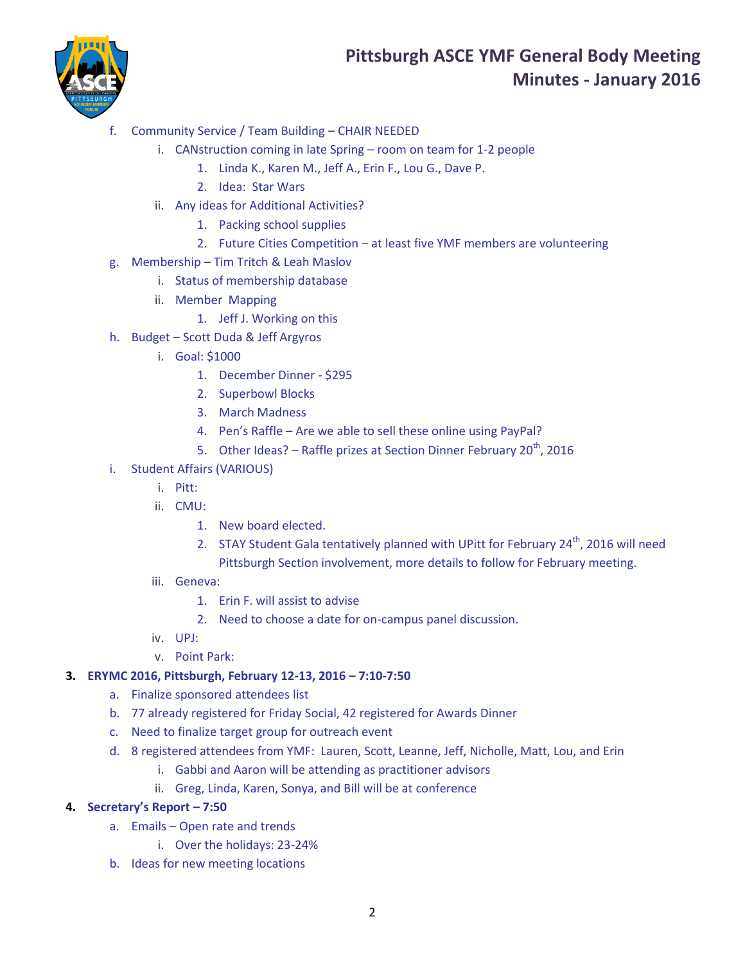## **Pittsburgh ASCE YMF General Body Meeting Minutes - January 2016**



- f. Community Service / Team Building CHAIR NEEDED
	- i. CANstruction coming in late Spring room on team for 1-2 people
		- 1. Linda K., Karen M., Jeff A., Erin F., Lou G., Dave P.
		- 2. Idea: Star Wars
	- ii. Any ideas for Additional Activities?
		- 1. Packing school supplies
		- 2. Future Cities Competition at least five YMF members are volunteering
- g. Membership Tim Tritch & Leah Maslov
	- i. Status of membership database
	- ii. Member Mapping
		- 1. Jeff J. Working on this
- h. Budget Scott Duda & Jeff Argyros
	- i. Goal: \$1000
		- 1. December Dinner \$295
		- 2. Superbowl Blocks
		- 3. March Madness
		- 4. Pen's Raffle Are we able to sell these online using PayPal?
		- 5. Other Ideas? Raffle prizes at Section Dinner February  $20^{th}$ , 2016
- i. Student Affairs (VARIOUS)
	- i. Pitt:
	- ii. CMU:
		- 1. New board elected.
		- 2. STAY Student Gala tentatively planned with UPitt for February  $24<sup>th</sup>$ , 2016 will need Pittsburgh Section involvement, more details to follow for February meeting.
	- iii. Geneva:
		- 1. Erin F. will assist to advise
		- 2. Need to choose a date for on-campus panel discussion.
	- iv. UPJ:
	- v. Point Park:

## **3. ERYMC 2016, Pittsburgh, February 12-13, 2016 – 7:10-7:50**

- a. Finalize sponsored attendees list
- b. 77 already registered for Friday Social, 42 registered for Awards Dinner
- c. Need to finalize target group for outreach event
- d. 8 registered attendees from YMF: Lauren, Scott, Leanne, Jeff, Nicholle, Matt, Lou, and Erin
	- i. Gabbi and Aaron will be attending as practitioner advisors
	- ii. Greg, Linda, Karen, Sonya, and Bill will be at conference

## **4. Secretary's Report – 7:50**

- a. Emails Open rate and trends
	- i. Over the holidays: 23-24%
- b. Ideas for new meeting locations